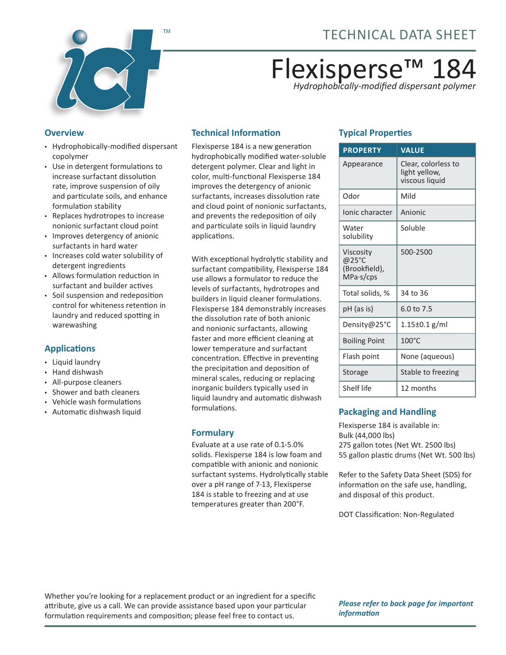

# Flexisperse™ 184 *Hydrophobically-modified dispersant polymer*

#### **Overview**

- Hydrophobically-modified dispersant copolymer
- Use in detergent formulations to increase surfactant dissolution rate, improve suspension of oily and particulate soils, and enhance formulation stability
- Replaces hydrotropes to increase nonionic surfactant cloud point
- Improves detergency of anionic surfactants in hard water
- Increases cold water solubility of detergent ingredients
- Allows formulation reduction in surfactant and builder actives
- Soil suspension and redeposition control for whiteness retention in laundry and reduced spotting in warewashing

### **Applications**

- Liquid laundry
- Hand dishwash
- All-purpose cleaners
- Shower and bath cleaners
- Vehicle wash formulations
- Automatic dishwash liquid

### **Technical Information**

Flexisperse 184 is a new generation hydrophobically modified water-soluble detergent polymer. Clear and light in color, multi-functional Flexisperse 184 improves the detergency of anionic surfactants, increases dissolution rate and cloud point of nonionic surfactants, and prevents the redeposition of oily and particulate soils in liquid laundry applications.

With exceptional hydrolytic stability and surfactant compatibility, Flexisperse 184 use allows a formulator to reduce the levels of surfactants, hydrotropes and builders in liquid cleaner formulations. Flexisperse 184 demonstrably increases the dissolution rate of both anionic and nonionic surfactants, allowing faster and more efficient cleaning at lower temperature and surfactant concentration. Effective in preventing the precipitation and deposition of mineral scales, reducing or replacing inorganic builders typically used in liquid laundry and automatic dishwash formulations.

#### **Formulary**

Evaluate at a use rate of 0.1-5.0% solids. Flexisperse 184 is low foam and compatible with anionic and nonionic surfactant systems. Hydrolytically stable over a pH range of 7-13, Flexisperse 184 is stable to freezing and at use temperatures greater than 200°F.

## **Typical Properties**

| <b>PROPERTY</b>                                  | <b>VALUE</b>                                           |
|--------------------------------------------------|--------------------------------------------------------|
| Appearance                                       | Clear, colorless to<br>light yellow,<br>viscous liquid |
| Odor                                             | Mild                                                   |
| Ionic character                                  | Anionic                                                |
| Water<br>solubility                              | Soluble                                                |
| Viscosity<br>@25°C<br>(Brookfield),<br>MPa·s/cps | 500-2500                                               |
| Total solids, %                                  | 34 to 36                                               |
| pH (as is)                                       | 6.0 to 7.5                                             |
| Density@25°C                                     | $1.15 \pm 0.1$ g/ml                                    |
| <b>Boiling Point</b>                             | $100^{\circ}$ C                                        |
| Flash point                                      | None (aqueous)                                         |
| Storage                                          | Stable to freezing                                     |
| Shelf life                                       | 12 months                                              |

### **Packaging and Handling**

Flexisperse 184 is available in: Bulk (44,000 lbs) 275 gallon totes (Net Wt. 2500 lbs) 55 gallon plastic drums (Net Wt. 500 lbs)

Refer to the Safety Data Sheet (SDS) for information on the safe use, handling, and disposal of this product.

DOT Classification: Non-Regulated

Whether you're looking for a replacement product or an ingredient for a specific attribute, give us a call. We can provide assistance based upon your particular formulation requirements and composition; please feel free to contact us.

*Please refer to back page for important information*